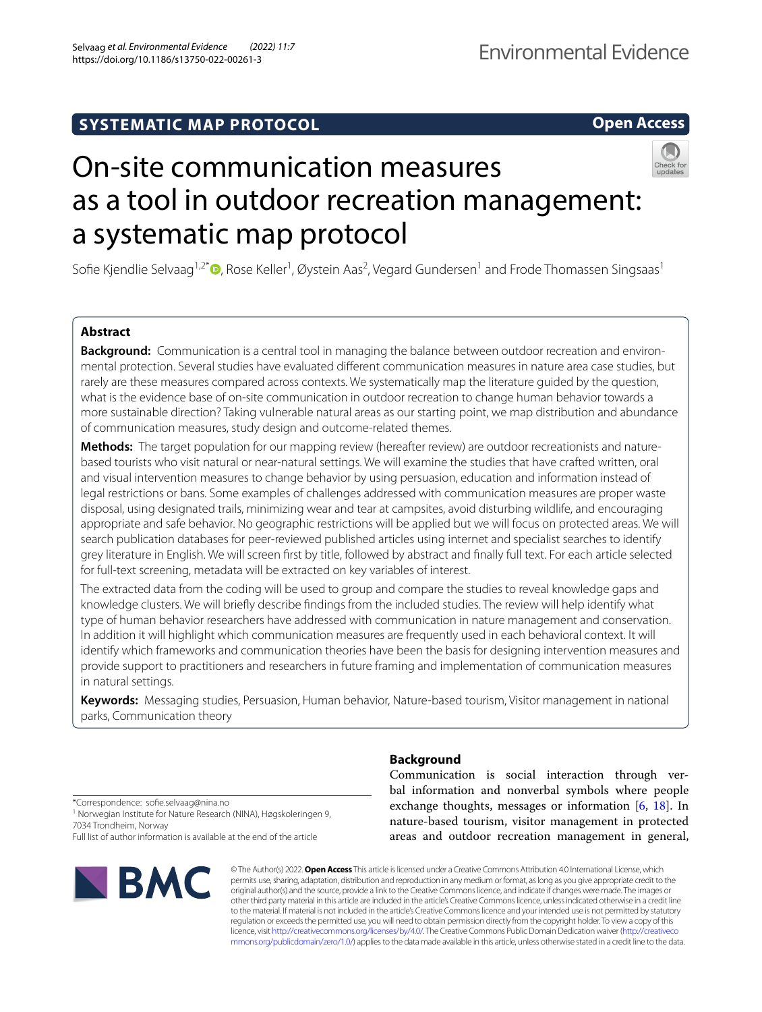# **SYSTEMATIC MAP PROTOCOL**

**Open Access**

# On-site communication measures as a tool in outdoor recreation management: a systematic map protocol

Sofie Kjendlie Selvaag<sup>1,2\*</sup>®[,](http://orcid.org/0000-0003-4307-6171) Rose Keller<sup>1</sup>, Øystein Aas<sup>2</sup>, Vegard Gundersen<sup>1</sup> and Frode Thomassen Singsaas<sup>1</sup>

# **Abstract**

**Background:** Communication is a central tool in managing the balance between outdoor recreation and environmental protection. Several studies have evaluated diferent communication measures in nature area case studies, but rarely are these measures compared across contexts. We systematically map the literature guided by the question, what is the evidence base of on-site communication in outdoor recreation to change human behavior towards a more sustainable direction? Taking vulnerable natural areas as our starting point, we map distribution and abundance of communication measures, study design and outcome-related themes.

**Methods:** The target population for our mapping review (hereafter review) are outdoor recreationists and naturebased tourists who visit natural or near-natural settings. We will examine the studies that have crafted written, oral and visual intervention measures to change behavior by using persuasion, education and information instead of legal restrictions or bans. Some examples of challenges addressed with communication measures are proper waste disposal, using designated trails, minimizing wear and tear at campsites, avoid disturbing wildlife, and encouraging appropriate and safe behavior. No geographic restrictions will be applied but we will focus on protected areas. We will search publication databases for peer-reviewed published articles using internet and specialist searches to identify grey literature in English. We will screen frst by title, followed by abstract and fnally full text. For each article selected for full-text screening, metadata will be extracted on key variables of interest.

The extracted data from the coding will be used to group and compare the studies to reveal knowledge gaps and knowledge clusters. We will briefy describe fndings from the included studies. The review will help identify what type of human behavior researchers have addressed with communication in nature management and conservation. In addition it will highlight which communication measures are frequently used in each behavioral context. It will identify which frameworks and communication theories have been the basis for designing intervention measures and provide support to practitioners and researchers in future framing and implementation of communication measures in natural settings.

**Keywords:** Messaging studies, Persuasion, Human behavior, Nature-based tourism, Visitor management in national parks, Communication theory

**Background**

Communication is social interaction through verbal information and nonverbal symbols where people exchange thoughts, messages or information  $[6, 18]$  $[6, 18]$  $[6, 18]$  $[6, 18]$ . In nature-based tourism, visitor management in protected areas and outdoor recreation management in general,

\*Correspondence: sofe.selvaag@nina.no <sup>1</sup> Norwegian Institute for Nature Research (NINA), Høgskoleringen 9, 7034 Trondheim, Norway Full list of author information is available at the end of the article



© The Author(s) 2022. **Open Access** This article is licensed under a Creative Commons Attribution 4.0 International License, which permits use, sharing, adaptation, distribution and reproduction in any medium or format, as long as you give appropriate credit to the original author(s) and the source, provide a link to the Creative Commons licence, and indicate if changes were made. The images or other third party material in this article are included in the article's Creative Commons licence, unless indicated otherwise in a credit line to the material. If material is not included in the article's Creative Commons licence and your intended use is not permitted by statutory regulation or exceeds the permitted use, you will need to obtain permission directly from the copyright holder. To view a copy of this licence, visit [http://creativecommons.org/licenses/by/4.0/.](http://creativecommons.org/licenses/by/4.0/) The Creative Commons Public Domain Dedication waiver ([http://creativeco](http://creativecommons.org/publicdomain/zero/1.0/) [mmons.org/publicdomain/zero/1.0/](http://creativecommons.org/publicdomain/zero/1.0/)) applies to the data made available in this article, unless otherwise stated in a credit line to the data.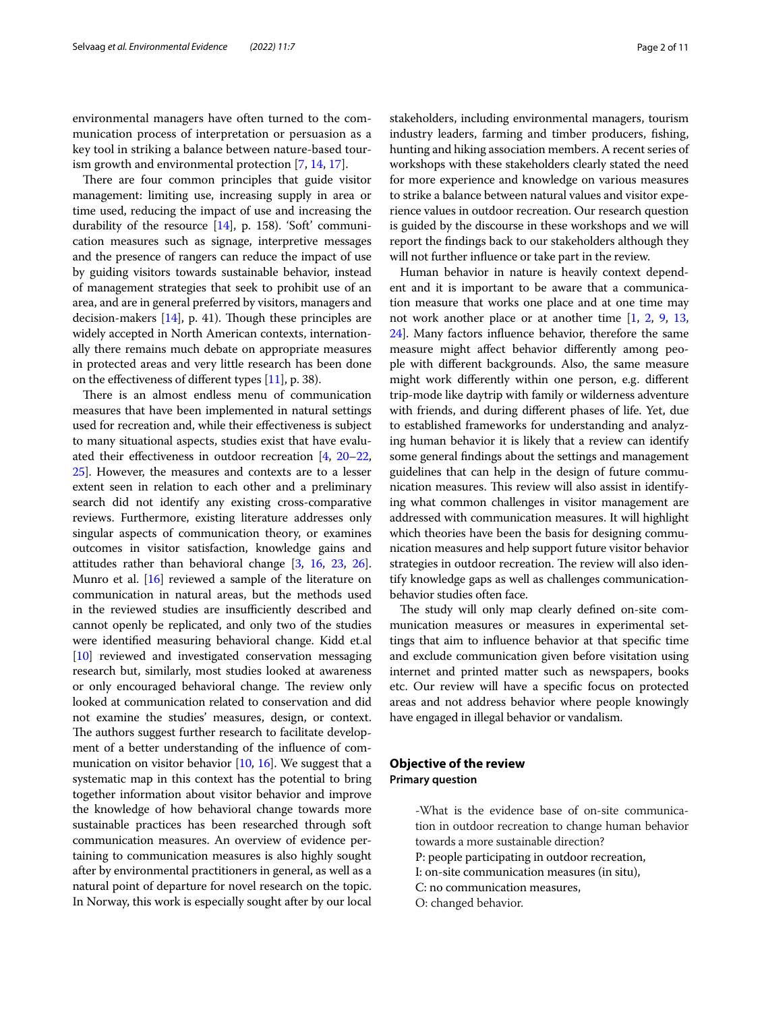environmental managers have often turned to the communication process of interpretation or persuasion as a key tool in striking a balance between nature-based tourism growth and environmental protection [\[7](#page-10-2), [14,](#page-10-3) [17\]](#page-10-4).

There are four common principles that guide visitor management: limiting use, increasing supply in area or time used, reducing the impact of use and increasing the durability of the resource [[14](#page-10-3)], p. 158). 'Soft' communication measures such as signage, interpretive messages and the presence of rangers can reduce the impact of use by guiding visitors towards sustainable behavior, instead of management strategies that seek to prohibit use of an area, and are in general preferred by visitors, managers and decision-makers  $[14]$ , p. 41). Though these principles are widely accepted in North American contexts, internationally there remains much debate on appropriate measures in protected areas and very little research has been done on the effectiveness of different types  $[11]$  $[11]$  $[11]$ , p. 38).

There is an almost endless menu of communication measures that have been implemented in natural settings used for recreation and, while their efectiveness is subject to many situational aspects, studies exist that have evaluated their effectiveness in outdoor recreation  $[4, 20-22, 1]$  $[4, 20-22, 1]$  $[4, 20-22, 1]$  $[4, 20-22, 1]$ [25](#page-10-8)]. However, the measures and contexts are to a lesser extent seen in relation to each other and a preliminary search did not identify any existing cross-comparative reviews. Furthermore, existing literature addresses only singular aspects of communication theory, or examines outcomes in visitor satisfaction, knowledge gains and attitudes rather than behavioral change [[3,](#page-9-1) [16](#page-10-9), [23,](#page-10-10) [26](#page-10-11)]. Munro et al.  $[16]$  $[16]$  $[16]$  reviewed a sample of the literature on communication in natural areas, but the methods used in the reviewed studies are insufficiently described and cannot openly be replicated, and only two of the studies were identifed measuring behavioral change. Kidd et.al [[10](#page-10-12)] reviewed and investigated conservation messaging research but, similarly, most studies looked at awareness or only encouraged behavioral change. The review only looked at communication related to conservation and did not examine the studies' measures, design, or context. The authors suggest further research to facilitate development of a better understanding of the infuence of communication on visitor behavior [\[10,](#page-10-12) [16](#page-10-9)]. We suggest that a systematic map in this context has the potential to bring together information about visitor behavior and improve the knowledge of how behavioral change towards more sustainable practices has been researched through soft communication measures. An overview of evidence pertaining to communication measures is also highly sought after by environmental practitioners in general, as well as a natural point of departure for novel research on the topic. In Norway, this work is especially sought after by our local stakeholders, including environmental managers, tourism industry leaders, farming and timber producers, fshing, hunting and hiking association members. A recent series of workshops with these stakeholders clearly stated the need for more experience and knowledge on various measures to strike a balance between natural values and visitor experience values in outdoor recreation. Our research question is guided by the discourse in these workshops and we will report the fndings back to our stakeholders although they will not further infuence or take part in the review.

Human behavior in nature is heavily context dependent and it is important to be aware that a communication measure that works one place and at one time may not work another place or at another time [\[1,](#page-9-2) [2](#page-9-3), [9](#page-10-13), [13](#page-10-14), [24](#page-10-15)]. Many factors infuence behavior, therefore the same measure might afect behavior diferently among people with diferent backgrounds. Also, the same measure might work diferently within one person, e.g. diferent trip-mode like daytrip with family or wilderness adventure with friends, and during diferent phases of life. Yet, due to established frameworks for understanding and analyzing human behavior it is likely that a review can identify some general fndings about the settings and management guidelines that can help in the design of future communication measures. This review will also assist in identifying what common challenges in visitor management are addressed with communication measures. It will highlight which theories have been the basis for designing communication measures and help support future visitor behavior strategies in outdoor recreation. The review will also identify knowledge gaps as well as challenges communicationbehavior studies often face.

The study will only map clearly defined on-site communication measures or measures in experimental settings that aim to infuence behavior at that specifc time and exclude communication given before visitation using internet and printed matter such as newspapers, books etc. Our review will have a specifc focus on protected areas and not address behavior where people knowingly have engaged in illegal behavior or vandalism.

# **Objective of the review Primary question**

-What is the evidence base of on-site communication in outdoor recreation to change human behavior towards a more sustainable direction? P: people participating in outdoor recreation, I: on-site communication measures (in situ), C: no communication measures, O: changed behavior.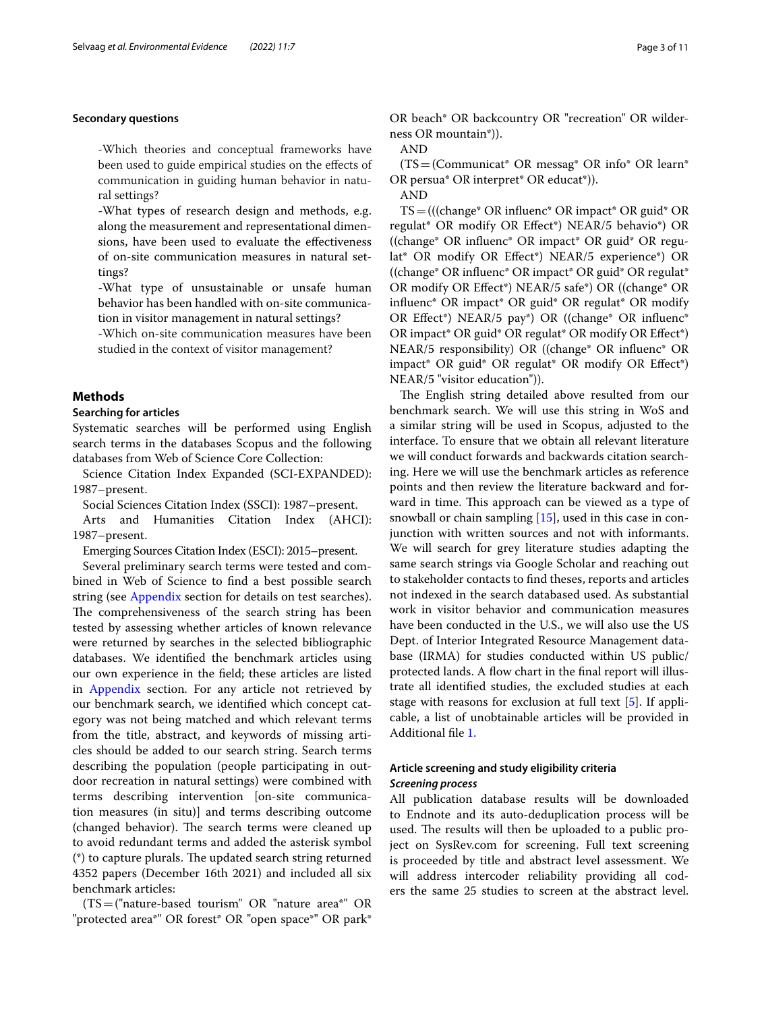# **Secondary questions**

-Which theories and conceptual frameworks have been used to guide empirical studies on the efects of communication in guiding human behavior in natural settings?

-What types of research design and methods, e.g. along the measurement and representational dimensions, have been used to evaluate the efectiveness of on-site communication measures in natural settings?

-What type of unsustainable or unsafe human behavior has been handled with on-site communication in visitor management in natural settings?

-Which on-site communication measures have been studied in the context of visitor management?

## **Methods**

### **Searching for articles**

Systematic searches will be performed using English search terms in the databases Scopus and the following databases from Web of Science Core Collection:

Science Citation Index Expanded (SCI-EXPANDED): 1987–present.

Social Sciences Citation Index (SSCI): 1987–present.

Arts and Humanities Citation Index (AHCI): 1987–present.

Emerging Sources Citation Index (ESCI): 2015–present.

Several preliminary search terms were tested and combined in Web of Science to fnd a best possible search string (see [Appendix](#page-7-0) section for details on test searches). The comprehensiveness of the search string has been tested by assessing whether articles of known relevance were returned by searches in the selected bibliographic databases. We identifed the benchmark articles using our own experience in the feld; these articles are listed in [Appendix](#page-7-0) section. For any article not retrieved by our benchmark search, we identifed which concept category was not being matched and which relevant terms from the title, abstract, and keywords of missing articles should be added to our search string. Search terms describing the population (people participating in outdoor recreation in natural settings) were combined with terms describing intervention [on-site communication measures (in situ)] and terms describing outcome (changed behavior). The search terms were cleaned up to avoid redundant terms and added the asterisk symbol  $(*)$  to capture plurals. The updated search string returned 4352 papers (December 16th 2021) and included all six benchmark articles:

(TS=("nature-based tourism" OR "nature area\*" OR "protected area\*" OR forest\* OR "open space\*" OR park\*

OR beach\* OR backcountry OR "recreation" OR wilderness OR mountain\*)).

AND

 $(TS=$ (Communicat<sup>\*</sup> OR messag<sup>\*</sup> OR info<sup>\*</sup> OR learn<sup>\*</sup> OR persua\* OR interpret\* OR educat\*)).

AND

TS=(((change\* OR infuenc\* OR impact\* OR guid\* OR regulat\* OR modify OR Efect\*) NEAR/5 behavio\*) OR ((change\* OR infuenc\* OR impact\* OR guid\* OR regulat\* OR modify OR Efect\*) NEAR/5 experience\*) OR ((change\* OR infuenc\* OR impact\* OR guid\* OR regulat\* OR modify OR Efect\*) NEAR/5 safe\*) OR ((change\* OR infuenc\* OR impact\* OR guid\* OR regulat\* OR modify OR Efect\*) NEAR/5 pay\*) OR ((change\* OR infuenc\* OR impact\* OR guid\* OR regulat\* OR modify OR Efect\*) NEAR/5 responsibility) OR ((change\* OR infuenc\* OR impact\* OR guid\* OR regulat\* OR modify OR Efect\*) NEAR/5 "visitor education")).

The English string detailed above resulted from our benchmark search. We will use this string in WoS and a similar string will be used in Scopus, adjusted to the interface. To ensure that we obtain all relevant literature we will conduct forwards and backwards citation searching. Here we will use the benchmark articles as reference points and then review the literature backward and forward in time. This approach can be viewed as a type of snowball or chain sampling [\[15](#page-10-16)], used in this case in conjunction with written sources and not with informants. We will search for grey literature studies adapting the same search strings via Google Scholar and reaching out to stakeholder contacts to fnd theses, reports and articles not indexed in the search databased used. As substantial work in visitor behavior and communication measures have been conducted in the U.S., we will also use the US Dept. of Interior Integrated Resource Management database (IRMA) for studies conducted within US public/ protected lands. A flow chart in the final report will illustrate all identifed studies, the excluded studies at each stage with reasons for exclusion at full text [[5\]](#page-10-17). If applicable, a list of unobtainable articles will be provided in Additional fle [1](#page-9-4).

# **Article screening and study eligibility criteria** *Screening process*

All publication database results will be downloaded to Endnote and its auto-deduplication process will be used. The results will then be uploaded to a public project on SysRev.com for screening. Full text screening is proceeded by title and abstract level assessment. We will address intercoder reliability providing all coders the same 25 studies to screen at the abstract level.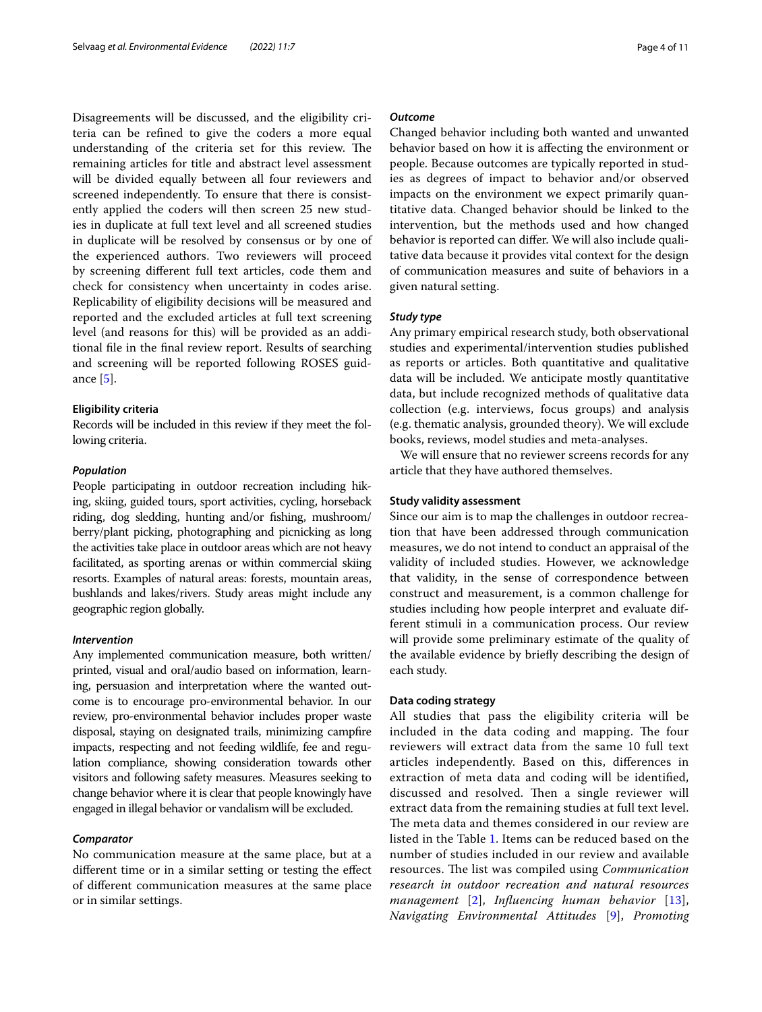Disagreements will be discussed, and the eligibility criteria can be refned to give the coders a more equal understanding of the criteria set for this review. The remaining articles for title and abstract level assessment will be divided equally between all four reviewers and screened independently. To ensure that there is consistently applied the coders will then screen 25 new studies in duplicate at full text level and all screened studies in duplicate will be resolved by consensus or by one of the experienced authors. Two reviewers will proceed by screening diferent full text articles, code them and check for consistency when uncertainty in codes arise. Replicability of eligibility decisions will be measured and reported and the excluded articles at full text screening level (and reasons for this) will be provided as an additional fle in the fnal review report. Results of searching and screening will be reported following ROSES guidance [[5\]](#page-10-17).

#### **Eligibility criteria**

Records will be included in this review if they meet the following criteria.

#### *Population*

People participating in outdoor recreation including hiking, skiing, guided tours, sport activities, cycling, horseback riding, dog sledding, hunting and/or fshing, mushroom/ berry/plant picking, photographing and picnicking as long the activities take place in outdoor areas which are not heavy facilitated, as sporting arenas or within commercial skiing resorts. Examples of natural areas: forests, mountain areas, bushlands and lakes/rivers. Study areas might include any geographic region globally.

#### *Intervention*

Any implemented communication measure, both written/ printed, visual and oral/audio based on information, learning, persuasion and interpretation where the wanted outcome is to encourage pro-environmental behavior. In our review, pro-environmental behavior includes proper waste disposal, staying on designated trails, minimizing campfre impacts, respecting and not feeding wildlife, fee and regulation compliance, showing consideration towards other visitors and following safety measures. Measures seeking to change behavior where it is clear that people knowingly have engaged in illegal behavior or vandalism will be excluded.

#### *Comparator*

No communication measure at the same place, but at a diferent time or in a similar setting or testing the efect of diferent communication measures at the same place or in similar settings.

## *Outcome*

Changed behavior including both wanted and unwanted behavior based on how it is afecting the environment or people. Because outcomes are typically reported in studies as degrees of impact to behavior and/or observed impacts on the environment we expect primarily quantitative data. Changed behavior should be linked to the intervention, but the methods used and how changed behavior is reported can difer. We will also include qualitative data because it provides vital context for the design of communication measures and suite of behaviors in a given natural setting.

# *Study type*

Any primary empirical research study, both observational studies and experimental/intervention studies published as reports or articles. Both quantitative and qualitative data will be included. We anticipate mostly quantitative data, but include recognized methods of qualitative data collection (e.g. interviews, focus groups) and analysis (e.g. thematic analysis, grounded theory). We will exclude books, reviews, model studies and meta-analyses.

We will ensure that no reviewer screens records for any article that they have authored themselves.

#### **Study validity assessment**

Since our aim is to map the challenges in outdoor recreation that have been addressed through communication measures, we do not intend to conduct an appraisal of the validity of included studies. However, we acknowledge that validity, in the sense of correspondence between construct and measurement, is a common challenge for studies including how people interpret and evaluate different stimuli in a communication process. Our review will provide some preliminary estimate of the quality of the available evidence by briefy describing the design of each study.

## **Data coding strategy**

All studies that pass the eligibility criteria will be included in the data coding and mapping. The four reviewers will extract data from the same 10 full text articles independently. Based on this, diferences in extraction of meta data and coding will be identifed, discussed and resolved. Then a single reviewer will extract data from the remaining studies at full text level. The meta data and themes considered in our review are listed in the Table [1.](#page-4-0) Items can be reduced based on the number of studies included in our review and available resources. The list was compiled using *Communication research in outdoor recreation and natural resources management* [[2\]](#page-9-3), *Infuencing human behavior* [[13](#page-10-14)], *Navigating Environmental Attitudes* [[9](#page-10-13)], *Promoting*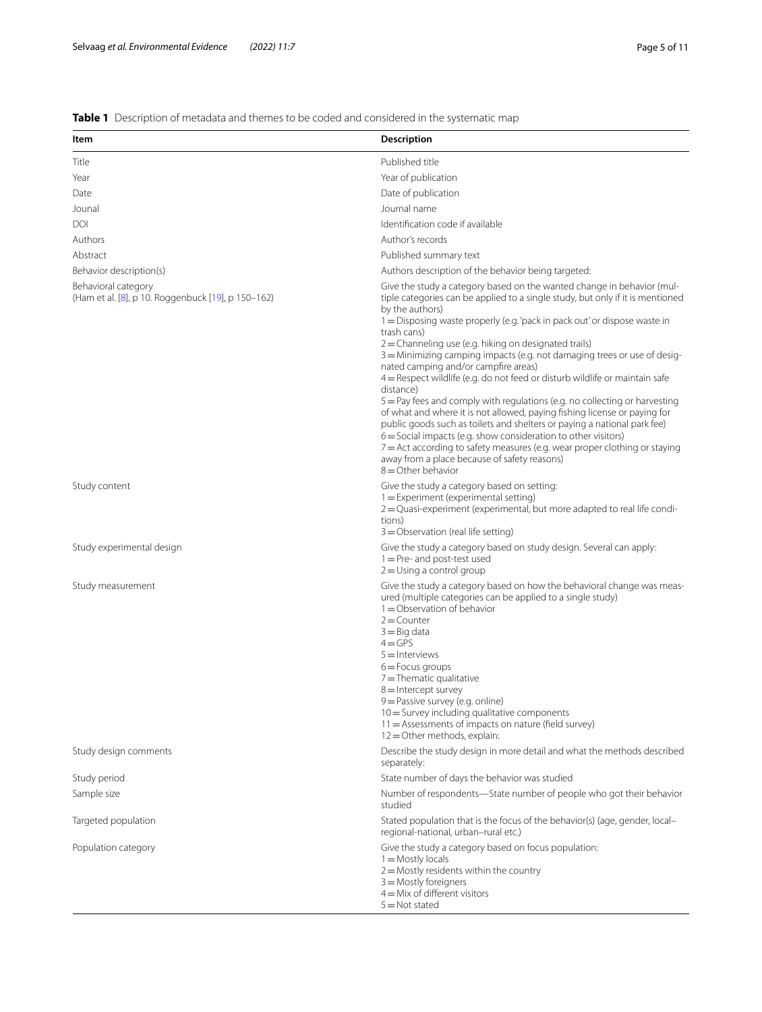# <span id="page-4-0"></span>**Table 1** Description of metadata and themes to be coded and considered in the systematic map

| Item                                                                      | <b>Description</b>                                                                                                                                                                                                                                                                                                                                                                                                                                                                                                                                                                                                                                                                                                                                                                                                                                                                                                                                                                                                  |
|---------------------------------------------------------------------------|---------------------------------------------------------------------------------------------------------------------------------------------------------------------------------------------------------------------------------------------------------------------------------------------------------------------------------------------------------------------------------------------------------------------------------------------------------------------------------------------------------------------------------------------------------------------------------------------------------------------------------------------------------------------------------------------------------------------------------------------------------------------------------------------------------------------------------------------------------------------------------------------------------------------------------------------------------------------------------------------------------------------|
| Title                                                                     | Published title                                                                                                                                                                                                                                                                                                                                                                                                                                                                                                                                                                                                                                                                                                                                                                                                                                                                                                                                                                                                     |
| Year                                                                      | Year of publication                                                                                                                                                                                                                                                                                                                                                                                                                                                                                                                                                                                                                                                                                                                                                                                                                                                                                                                                                                                                 |
| Date                                                                      | Date of publication                                                                                                                                                                                                                                                                                                                                                                                                                                                                                                                                                                                                                                                                                                                                                                                                                                                                                                                                                                                                 |
| Jounal                                                                    | Journal name                                                                                                                                                                                                                                                                                                                                                                                                                                                                                                                                                                                                                                                                                                                                                                                                                                                                                                                                                                                                        |
| DOI                                                                       | Identification code if available                                                                                                                                                                                                                                                                                                                                                                                                                                                                                                                                                                                                                                                                                                                                                                                                                                                                                                                                                                                    |
| Authors                                                                   | Author's records                                                                                                                                                                                                                                                                                                                                                                                                                                                                                                                                                                                                                                                                                                                                                                                                                                                                                                                                                                                                    |
| Abstract                                                                  | Published summary text                                                                                                                                                                                                                                                                                                                                                                                                                                                                                                                                                                                                                                                                                                                                                                                                                                                                                                                                                                                              |
| Behavior description(s)                                                   | Authors description of the behavior being targeted:                                                                                                                                                                                                                                                                                                                                                                                                                                                                                                                                                                                                                                                                                                                                                                                                                                                                                                                                                                 |
| Behavioral category<br>(Ham et al. [8], p 10. Roggenbuck [19], p 150-162) | Give the study a category based on the wanted change in behavior (mul-<br>tiple categories can be applied to a single study, but only if it is mentioned<br>by the authors)<br>1 = Disposing waste properly (e.g. 'pack in pack out' or dispose waste in<br>trash cans)<br>2 = Channeling use (e.g. hiking on designated trails)<br>3 = Minimizing camping impacts (e.g. not damaging trees or use of desig-<br>nated camping and/or campfire areas)<br>4 = Respect wildlife (e.g. do not feed or disturb wildlife or maintain safe<br>distance)<br>$5 =$ Pay fees and comply with regulations (e.g. no collecting or harvesting<br>of what and where it is not allowed, paying fishing license or paying for<br>public goods such as toilets and shelters or paying a national park fee)<br>6 = Social impacts (e.g. show consideration to other visitors)<br>$7$ = Act according to safety measures (e.g. wear proper clothing or staying<br>away from a place because of safety reasons)<br>$8 =$ Other behavior |
| Study content                                                             | Give the study a category based on setting:<br>1 = Experiment (experimental setting)<br>2 = Quasi-experiment (experimental, but more adapted to real life condi-<br>tions)<br>$3 =$ Observation (real life setting)                                                                                                                                                                                                                                                                                                                                                                                                                                                                                                                                                                                                                                                                                                                                                                                                 |
| Study experimental design                                                 | Give the study a category based on study design. Several can apply:<br>$1 = Pre-$ and post-test used<br>$2 =$ Using a control group                                                                                                                                                                                                                                                                                                                                                                                                                                                                                                                                                                                                                                                                                                                                                                                                                                                                                 |
| Study measurement                                                         | Give the study a category based on how the behavioral change was meas-<br>ured (multiple categories can be applied to a single study)<br>$1 =$ Observation of behavior<br>$2 =$ Counter<br>$3 =$ Big data<br>$4 = GPS$<br>$5 =$ Interviews<br>$6 =$ Focus groups<br>$7 =$ Thematic qualitative<br>$8 =$ Intercept survey<br>9 = Passive survey (e.g. online)<br>$10 =$ Survey including qualitative components<br>11 = Assessments of impacts on nature (field survey)<br>$12 =$ Other methods, explain:                                                                                                                                                                                                                                                                                                                                                                                                                                                                                                            |
| Study design comments                                                     | Describe the study design in more detail and what the methods described<br>separately:                                                                                                                                                                                                                                                                                                                                                                                                                                                                                                                                                                                                                                                                                                                                                                                                                                                                                                                              |
| Study period                                                              | State number of days the behavior was studied                                                                                                                                                                                                                                                                                                                                                                                                                                                                                                                                                                                                                                                                                                                                                                                                                                                                                                                                                                       |
| Sample size                                                               | Number of respondents-State number of people who got their behavior<br>studied                                                                                                                                                                                                                                                                                                                                                                                                                                                                                                                                                                                                                                                                                                                                                                                                                                                                                                                                      |
| Targeted population                                                       | Stated population that is the focus of the behavior(s) (age, gender, local-<br>regional-national, urban-rural etc.)                                                                                                                                                                                                                                                                                                                                                                                                                                                                                                                                                                                                                                                                                                                                                                                                                                                                                                 |
| Population category                                                       | Give the study a category based on focus population:<br>$1 =$ Mostly locals<br>$2 =$ Mostly residents within the country<br>$3 =$ Mostly foreigners<br>$4 =$ Mix of different visitors<br>$5 = Not stated$                                                                                                                                                                                                                                                                                                                                                                                                                                                                                                                                                                                                                                                                                                                                                                                                          |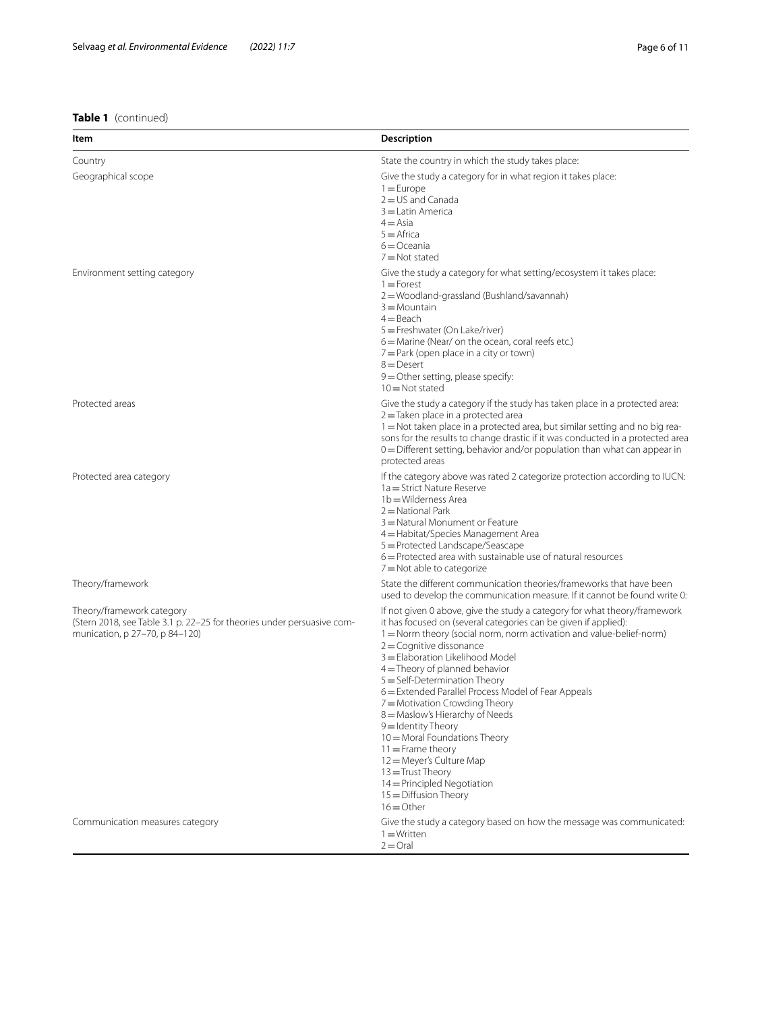# **Table 1** (continued)

| Item                                                                                                                                  | Description                                                                                                                                                                                                                                                                                                                                                                                                                                                                                                                                                                                                                                                                                           |
|---------------------------------------------------------------------------------------------------------------------------------------|-------------------------------------------------------------------------------------------------------------------------------------------------------------------------------------------------------------------------------------------------------------------------------------------------------------------------------------------------------------------------------------------------------------------------------------------------------------------------------------------------------------------------------------------------------------------------------------------------------------------------------------------------------------------------------------------------------|
| Country                                                                                                                               | State the country in which the study takes place:                                                                                                                                                                                                                                                                                                                                                                                                                                                                                                                                                                                                                                                     |
| Geographical scope                                                                                                                    | Give the study a category for in what region it takes place:<br>$1 = Europe$<br>$2 = US$ and Canada<br>$3 =$ Latin America<br>$4 = Asia$<br>$5 =$ Africa<br>$6 = Oceania$<br>$7 = Not stated$                                                                                                                                                                                                                                                                                                                                                                                                                                                                                                         |
| Environment setting category                                                                                                          | Give the study a category for what setting/ecosystem it takes place:<br>$1 =$ Forest<br>2=Woodland-grassland (Bushland/savannah)<br>$3 =$ Mountain<br>$4 =$ Beach<br>5 = Freshwater (On Lake/river)<br>6 = Marine (Near/ on the ocean, coral reefs etc.)<br>7 = Park (open place in a city or town)<br>$8 =$ Desert<br>9 = Other setting, please specify:<br>$10 = Not stated$                                                                                                                                                                                                                                                                                                                        |
| Protected areas                                                                                                                       | Give the study a category if the study has taken place in a protected area:<br>$2 =$ Taken place in a protected area<br>1 = Not taken place in a protected area, but similar setting and no big rea-<br>sons for the results to change drastic if it was conducted in a protected area<br>$0 =$ Different setting, behavior and/or population than what can appear in<br>protected areas                                                                                                                                                                                                                                                                                                              |
| Protected area category                                                                                                               | If the category above was rated 2 categorize protection according to IUCN:<br>1a = Strict Nature Reserve<br>1b = Wilderness Area<br>$2 =$ National Park<br>3 = Natural Monument or Feature<br>4 = Habitat/Species Management Area<br>5 = Protected Landscape/Seascape<br>6 = Protected area with sustainable use of natural resources<br>7 = Not able to categorize                                                                                                                                                                                                                                                                                                                                   |
| Theory/framework                                                                                                                      | State the different communication theories/frameworks that have been<br>used to develop the communication measure. If it cannot be found write 0:                                                                                                                                                                                                                                                                                                                                                                                                                                                                                                                                                     |
| Theory/framework category<br>(Stern 2018, see Table 3.1 p. 22-25 for theories under persuasive com-<br>munication, p 27-70, p 84-120) | If not given 0 above, give the study a category for what theory/framework<br>it has focused on (several categories can be given if applied):<br>1 = Norm theory (social norm, norm activation and value-belief-norm)<br>$2 =$ Cognitive dissonance<br>3 = Elaboration Likelihood Model<br>$4 =$ Theory of planned behavior<br>5 = Self-Determination Theory<br>6 = Extended Parallel Process Model of Fear Appeals<br>7 = Motivation Crowding Theory<br>8 = Maslow's Hierarchy of Needs<br>$9 =$ Identity Theory<br>10 = Moral Foundations Theory<br>$11 =$ Frame theory<br>12 = Meyer's Culture Map<br>$13 =$ Trust Theory<br>14 = Principled Negotiation<br>$15 =$ Diffusion Theory<br>$16 =$ Other |
| Communication measures category                                                                                                       | Give the study a category based on how the message was communicated:<br>$1 =$ Written<br>$2 =$ Oral                                                                                                                                                                                                                                                                                                                                                                                                                                                                                                                                                                                                   |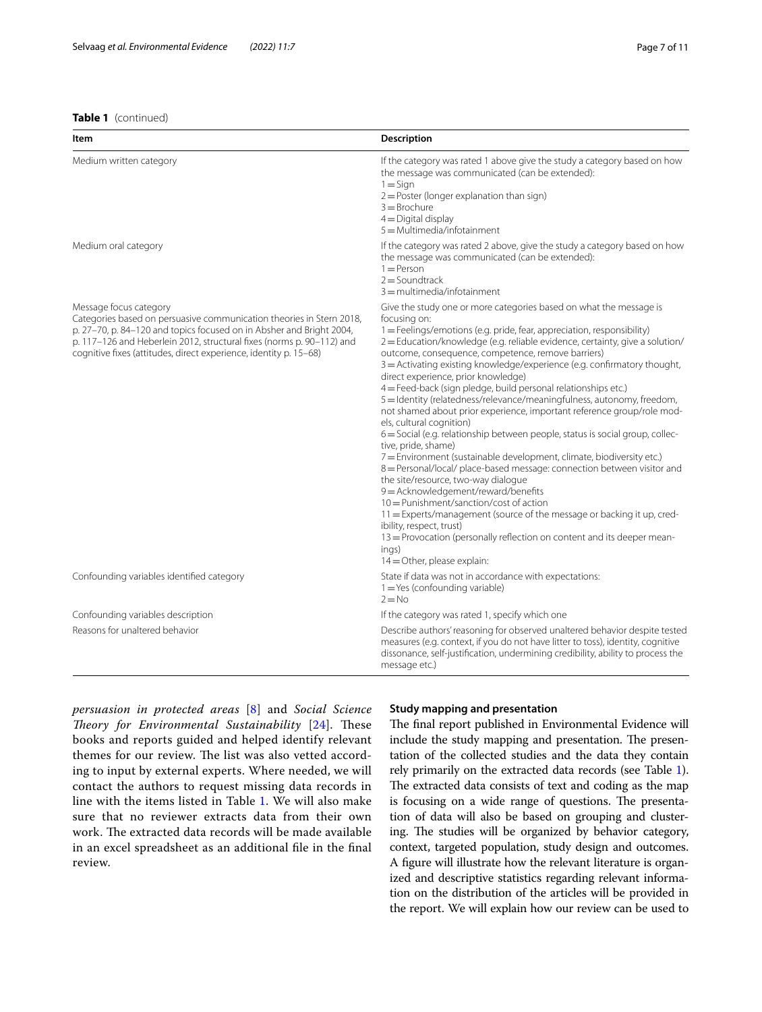## **Table 1** (continued)

| Item                                                                                                                                                                                                                                                                                                                 | <b>Description</b>                                                                                                                                                                                                                                                                                                                                                                                                                                                                                                                                                                                                                                                                                                                                                                                                                                                                                                                                                                                                                                                                                                                                                                                                                                                                    |
|----------------------------------------------------------------------------------------------------------------------------------------------------------------------------------------------------------------------------------------------------------------------------------------------------------------------|---------------------------------------------------------------------------------------------------------------------------------------------------------------------------------------------------------------------------------------------------------------------------------------------------------------------------------------------------------------------------------------------------------------------------------------------------------------------------------------------------------------------------------------------------------------------------------------------------------------------------------------------------------------------------------------------------------------------------------------------------------------------------------------------------------------------------------------------------------------------------------------------------------------------------------------------------------------------------------------------------------------------------------------------------------------------------------------------------------------------------------------------------------------------------------------------------------------------------------------------------------------------------------------|
| Medium written category                                                                                                                                                                                                                                                                                              | If the category was rated 1 above give the study a category based on how<br>the message was communicated (can be extended):<br>$1 =$ Sign<br>2 = Poster (longer explanation than sign)<br>$3 =$ Brochure<br>$4 =$ Digital display<br>$5 =$ Multimedia/infotainment                                                                                                                                                                                                                                                                                                                                                                                                                                                                                                                                                                                                                                                                                                                                                                                                                                                                                                                                                                                                                    |
| Medium oral category                                                                                                                                                                                                                                                                                                 | If the category was rated 2 above, give the study a category based on how<br>the message was communicated (can be extended):<br>$1 =$ Person<br>$2 =$ Soundtrack<br>$3 =$ multimedia/infotainment                                                                                                                                                                                                                                                                                                                                                                                                                                                                                                                                                                                                                                                                                                                                                                                                                                                                                                                                                                                                                                                                                     |
| Message focus category<br>Categories based on persuasive communication theories in Stern 2018,<br>p. 27-70, p. 84-120 and topics focused on in Absher and Bright 2004,<br>p. 117-126 and Heberlein 2012, structural fixes (norms p. 90-112) and<br>cognitive fixes (attitudes, direct experience, identity p. 15-68) | Give the study one or more categories based on what the message is<br>focusing on:<br>1 = Feelings/emotions (e.g. pride, fear, appreciation, responsibility)<br>2=Education/knowledge (e.g. reliable evidence, certainty, give a solution/<br>outcome, consequence, competence, remove barriers)<br>3 = Activating existing knowledge/experience (e.g. confirmatory thought,<br>direct experience, prior knowledge)<br>4 = Feed-back (sign pledge, build personal relationships etc.)<br>5 = Identity (relatedness/relevance/meaningfulness, autonomy, freedom,<br>not shamed about prior experience, important reference group/role mod-<br>els, cultural cognition)<br>6 = Social (e.g. relationship between people, status is social group, collec-<br>tive, pride, shame)<br>7 = Environment (sustainable development, climate, biodiversity etc.)<br>8 = Personal/local/ place-based message: connection between visitor and<br>the site/resource, two-way dialogue<br>9 = Acknowledgement/reward/benefits<br>10 = Punishment/sanction/cost of action<br>11 = Experts/management (source of the message or backing it up, cred-<br>ibility, respect, trust)<br>13 = Provocation (personally reflection on content and its deeper mean-<br>ings)<br>$14 =$ Other, please explain: |
| Confounding variables identified category                                                                                                                                                                                                                                                                            | State if data was not in accordance with expectations:<br>$1 = Yes$ (confounding variable)<br>$2 = No$                                                                                                                                                                                                                                                                                                                                                                                                                                                                                                                                                                                                                                                                                                                                                                                                                                                                                                                                                                                                                                                                                                                                                                                |
| Confounding variables description                                                                                                                                                                                                                                                                                    | If the category was rated 1, specify which one                                                                                                                                                                                                                                                                                                                                                                                                                                                                                                                                                                                                                                                                                                                                                                                                                                                                                                                                                                                                                                                                                                                                                                                                                                        |
| Reasons for unaltered behavior                                                                                                                                                                                                                                                                                       | Describe authors' reasoning for observed unaltered behavior despite tested<br>measures (e.g. context, if you do not have litter to toss), identity, cognitive<br>dissonance, self-justification, undermining credibility, ability to process the<br>message etc.)                                                                                                                                                                                                                                                                                                                                                                                                                                                                                                                                                                                                                                                                                                                                                                                                                                                                                                                                                                                                                     |

*persuasion in protected areas* [[8\]](#page-10-18) and *Social Science Theory for Environmental Sustainability* [[24\]](#page-10-15). These books and reports guided and helped identify relevant themes for our review. The list was also vetted according to input by external experts. Where needed, we will contact the authors to request missing data records in line with the items listed in Table [1.](#page-4-0) We will also make sure that no reviewer extracts data from their own work. The extracted data records will be made available in an excel spreadsheet as an additional fle in the fnal review.

#### **Study mapping and presentation**

The final report published in Environmental Evidence will include the study mapping and presentation. The presentation of the collected studies and the data they contain rely primarily on the extracted data records (see Table [1](#page-4-0)). The extracted data consists of text and coding as the map is focusing on a wide range of questions. The presentation of data will also be based on grouping and clustering. The studies will be organized by behavior category, context, targeted population, study design and outcomes. A fgure will illustrate how the relevant literature is organized and descriptive statistics regarding relevant information on the distribution of the articles will be provided in the report. We will explain how our review can be used to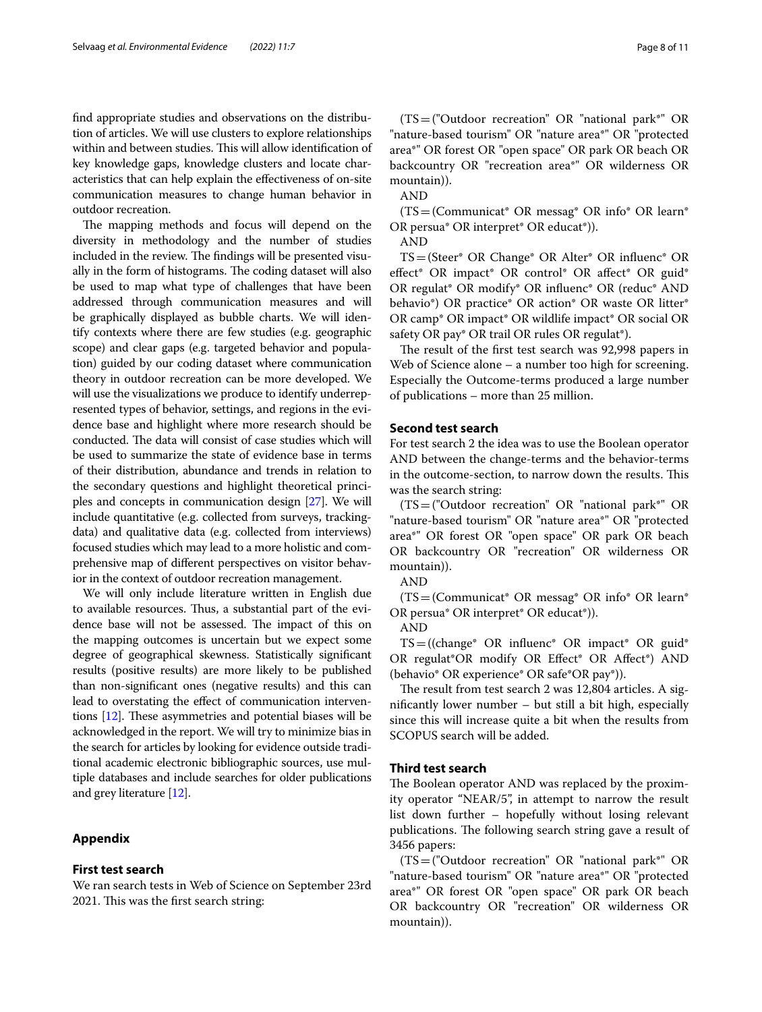fnd appropriate studies and observations on the distribution of articles. We will use clusters to explore relationships within and between studies. This will allow identification of key knowledge gaps, knowledge clusters and locate characteristics that can help explain the efectiveness of on-site communication measures to change human behavior in outdoor recreation.

The mapping methods and focus will depend on the diversity in methodology and the number of studies included in the review. The findings will be presented visually in the form of histograms. The coding dataset will also be used to map what type of challenges that have been addressed through communication measures and will be graphically displayed as bubble charts. We will identify contexts where there are few studies (e.g. geographic scope) and clear gaps (e.g. targeted behavior and population) guided by our coding dataset where communication theory in outdoor recreation can be more developed. We will use the visualizations we produce to identify underrepresented types of behavior, settings, and regions in the evidence base and highlight where more research should be conducted. The data will consist of case studies which will be used to summarize the state of evidence base in terms of their distribution, abundance and trends in relation to the secondary questions and highlight theoretical principles and concepts in communication design [\[27](#page-10-20)]. We will include quantitative (e.g. collected from surveys, trackingdata) and qualitative data (e.g. collected from interviews) focused studies which may lead to a more holistic and comprehensive map of diferent perspectives on visitor behavior in the context of outdoor recreation management.

We will only include literature written in English due to available resources. Thus, a substantial part of the evidence base will not be assessed. The impact of this on the mapping outcomes is uncertain but we expect some degree of geographical skewness. Statistically signifcant results (positive results) are more likely to be published than non-signifcant ones (negative results) and this can lead to overstating the efect of communication interventions  $[12]$  $[12]$ . These asymmetries and potential biases will be acknowledged in the report. We will try to minimize bias in the search for articles by looking for evidence outside traditional academic electronic bibliographic sources, use multiple databases and include searches for older publications and grey literature [\[12\]](#page-10-21).

# <span id="page-7-0"></span>**Appendix**

#### **First test search**

We ran search tests in Web of Science on September 23rd 2021. This was the first search string:

(TS=("Outdoor recreation" OR "national park\*" OR "nature-based tourism" OR "nature area\*" OR "protected area\*" OR forest OR "open space" OR park OR beach OR backcountry OR "recreation area\*" OR wilderness OR mountain)).

AND

 $(TS=$ (Communicat\* OR messag\* OR info\* OR learn\* OR persua\* OR interpret\* OR educat\*)).

AND

TS=(Steer\* OR Change\* OR Alter\* OR infuenc\* OR effect\* OR impact\* OR control\* OR affect\* OR guid\* OR regulat\* OR modify\* OR infuenc\* OR (reduc\* AND behavio\*) OR practice\* OR action\* OR waste OR litter\* OR camp\* OR impact\* OR wildlife impact\* OR social OR safety OR pay\* OR trail OR rules OR regulat\*).

The result of the first test search was 92,998 papers in Web of Science alone – a number too high for screening. Especially the Outcome-terms produced a large number of publications – more than 25 million.

# **Second test search**

For test search 2 the idea was to use the Boolean operator AND between the change-terms and the behavior-terms in the outcome-section, to narrow down the results. This was the search string:

(TS=("Outdoor recreation" OR "national park\*" OR "nature-based tourism" OR "nature area\*" OR "protected area\*" OR forest OR "open space" OR park OR beach OR backcountry OR "recreation" OR wilderness OR mountain)).

AND

 $(TS=$ (Communicat\* OR messag\* OR info\* OR learn\* OR persua\* OR interpret\* OR educat\*)).

AND

 $TS = ((change^* \t OR \t influence^* \t OR \t impact^* \t OR \t guide^*)$ OR regulat\*OR modify OR Efect\* OR Afect\*) AND (behavio\* OR experience\* OR safe\*OR pay\*)).

The result from test search 2 was 12,804 articles. A signifcantly lower number – but still a bit high, especially since this will increase quite a bit when the results from SCOPUS search will be added.

## **Third test search**

The Boolean operator AND was replaced by the proximity operator "NEAR/5", in attempt to narrow the result list down further – hopefully without losing relevant publications. The following search string gave a result of 3456 papers:

(TS=("Outdoor recreation" OR "national park\*" OR "nature-based tourism" OR "nature area\*" OR "protected area\*" OR forest OR "open space" OR park OR beach OR backcountry OR "recreation" OR wilderness OR mountain)).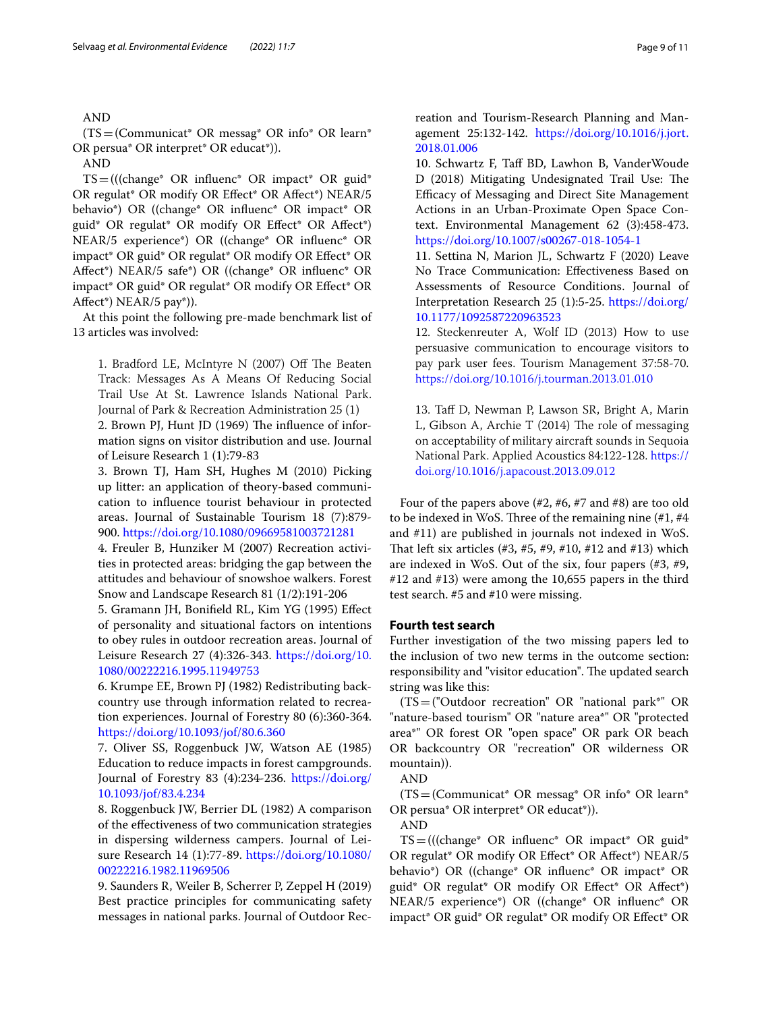# AND

(TS=(Communicat\* OR messag\* OR info\* OR learn\* OR persua\* OR interpret\* OR educat\*)).

TS=(((change\* OR infuenc\* OR impact\* OR guid\* OR regulat\* OR modify OR Efect\* OR Afect\*) NEAR/5 behavio\*) OR ((change\* OR infuenc\* OR impact\* OR guid\* OR regulat\* OR modify OR Efect\* OR Afect\*) NEAR/5 experience\*) OR ((change\* OR infuenc\* OR impact\* OR guid\* OR regulat\* OR modify OR Efect\* OR Afect\*) NEAR/5 safe\*) OR ((change\* OR infuenc\* OR impact\* OR guid\* OR regulat\* OR modify OR Efect\* OR Afect\*) NEAR/5 pay\*)).

At this point the following pre-made benchmark list of 13 articles was involved:

1. Bradford LE, McIntyre N (2007) Off The Beaten Track: Messages As A Means Of Reducing Social Trail Use At St. Lawrence Islands National Park. Journal of Park & Recreation Administration 25 (1)

2. Brown PJ, Hunt JD (1969) The influence of information signs on visitor distribution and use. Journal of Leisure Research 1 (1):79-83

3. Brown TJ, Ham SH, Hughes M (2010) Picking up litter: an application of theory-based communication to infuence tourist behaviour in protected areas. Journal of Sustainable Tourism 18 (7):879- 900. <https://doi.org/10.1080/09669581003721281>

4. Freuler B, Hunziker M (2007) Recreation activities in protected areas: bridging the gap between the attitudes and behaviour of snowshoe walkers. Forest Snow and Landscape Research 81 (1/2):191-206

5. Gramann JH, Bonifeld RL, Kim YG (1995) Efect of personality and situational factors on intentions to obey rules in outdoor recreation areas. Journal of Leisure Research 27 (4):326-343. [https://doi.org/10.](https://doi.org/10.1080/00222216.1995.11949753) [1080/00222216.1995.11949753](https://doi.org/10.1080/00222216.1995.11949753)

6. Krumpe EE, Brown PJ (1982) Redistributing backcountry use through information related to recreation experiences. Journal of Forestry 80 (6):360-364. <https://doi.org/10.1093/jof/80.6.360>

7. Oliver SS, Roggenbuck JW, Watson AE (1985) Education to reduce impacts in forest campgrounds. Journal of Forestry 83 (4):234-236. [https://doi.org/](https://doi.org/10.1093/jof/83.4.234) [10.1093/jof/83.4.234](https://doi.org/10.1093/jof/83.4.234)

8. Roggenbuck JW, Berrier DL (1982) A comparison of the efectiveness of two communication strategies in dispersing wilderness campers. Journal of Leisure Research 14 (1):77-89. [https://doi.org/10.1080/](https://doi.org/10.1080/00222216.1982.11969506) [00222216.1982.11969506](https://doi.org/10.1080/00222216.1982.11969506)

9. Saunders R, Weiler B, Scherrer P, Zeppel H (2019) Best practice principles for communicating safety messages in national parks. Journal of Outdoor Recreation and Tourism-Research Planning and Management 25:132-142. [https://doi.org/10.1016/j.jort.](https://doi.org/10.1016/j.jort.2018.01.006) [2018.01.006](https://doi.org/10.1016/j.jort.2018.01.006)

10. Schwartz F, Taf BD, Lawhon B, VanderWoude D (2018) Mitigating Undesignated Trail Use: The Efficacy of Messaging and Direct Site Management Actions in an Urban-Proximate Open Space Context. Environmental Management 62 (3):458-473. <https://doi.org/10.1007/s00267-018-1054-1>

11. Settina N, Marion JL, Schwartz F (2020) Leave No Trace Communication: Efectiveness Based on Assessments of Resource Conditions. Journal of Interpretation Research 25 (1):5-25. [https://doi.org/](https://doi.org/10.1177/1092587220963523) [10.1177/1092587220963523](https://doi.org/10.1177/1092587220963523)

12. Steckenreuter A, Wolf ID (2013) How to use persuasive communication to encourage visitors to pay park user fees. Tourism Management 37:58-70. <https://doi.org/10.1016/j.tourman.2013.01.010>

13. Taf D, Newman P, Lawson SR, Bright A, Marin L, Gibson A, Archie T (2014) The role of messaging on acceptability of military aircraft sounds in Sequoia National Park. Applied Acoustics 84:122-128. [https://](https://doi.org/10.1016/j.apacoust.2013.09.012) [doi.org/10.1016/j.apacoust.2013.09.012](https://doi.org/10.1016/j.apacoust.2013.09.012)

Four of the papers above (#2, #6, #7 and #8) are too old to be indexed in WoS. Three of the remaining nine  $(\#1, \#4)$ and #11) are published in journals not indexed in WoS. That left six articles  $(\#3, \#5, \#9, \#10, \#12$  and  $\#13)$  which are indexed in WoS. Out of the six, four papers (#3, #9, #12 and #13) were among the 10,655 papers in the third test search. #5 and #10 were missing.

# **Fourth test search**

Further investigation of the two missing papers led to the inclusion of two new terms in the outcome section: responsibility and "visitor education". The updated search string was like this:

(TS=("Outdoor recreation" OR "national park\*" OR "nature-based tourism" OR "nature area\*" OR "protected area\*" OR forest OR "open space" OR park OR beach OR backcountry OR "recreation" OR wilderness OR mountain)).



(TS=(Communicat\* OR messag\* OR info\* OR learn\* OR persua\* OR interpret\* OR educat\*)).

AND

 $TS = (((change^* \ OR \ influence^* \ OR \ impact^* \ OR \ grad^*)$ OR regulat\* OR modify OR Efect\* OR Afect\*) NEAR/5 behavio\*) OR ((change\* OR infuenc\* OR impact\* OR guid\* OR regulat\* OR modify OR Efect\* OR Afect\*) NEAR/5 experience\*) OR ((change\* OR infuenc\* OR impact\* OR guid\* OR regulat\* OR modify OR Efect\* OR

AND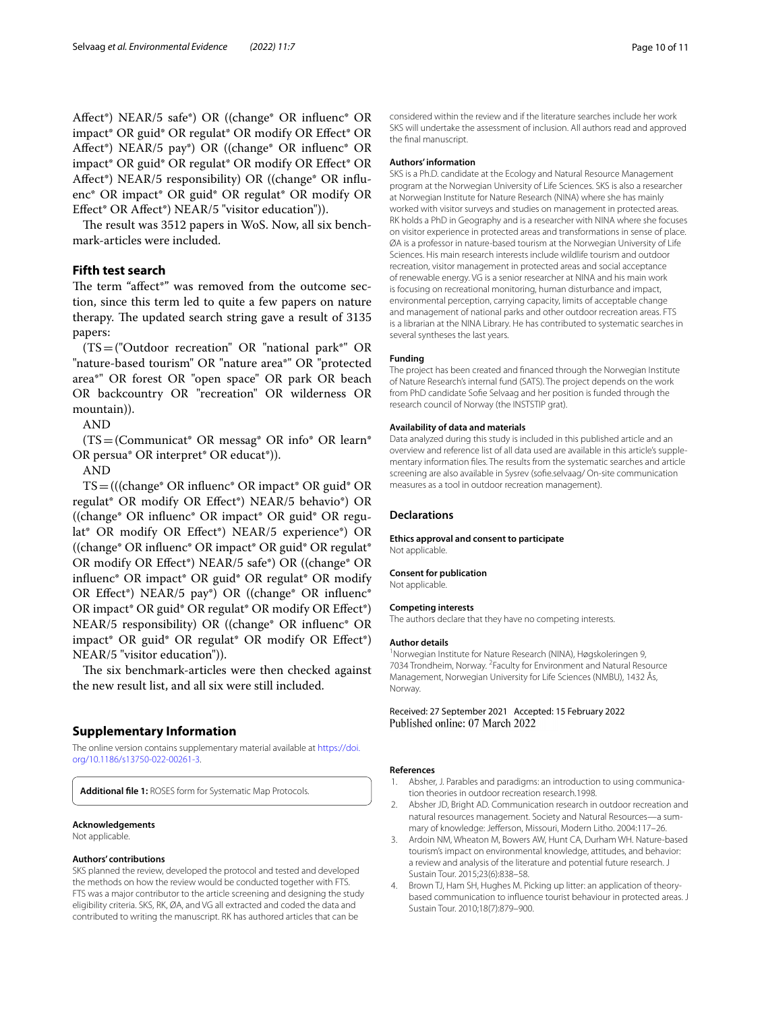Afect\*) NEAR/5 safe\*) OR ((change\* OR infuenc\* OR impact\* OR guid\* OR regulat\* OR modify OR Efect\* OR Afect\*) NEAR/5 pay\*) OR ((change\* OR infuenc\* OR impact\* OR guid\* OR regulat\* OR modify OR Efect\* OR Afect\*) NEAR/5 responsibility) OR ((change\* OR infuenc\* OR impact\* OR guid\* OR regulat\* OR modify OR Efect\* OR Afect\*) NEAR/5 "visitor education")).

The result was 3512 papers in WoS. Now, all six benchmark-articles were included.

# **Fifth test search**

The term "affect\*" was removed from the outcome section, since this term led to quite a few papers on nature therapy. The updated search string gave a result of 3135 papers:

(TS=("Outdoor recreation" OR "national park\*" OR "nature-based tourism" OR "nature area\*" OR "protected area\*" OR forest OR "open space" OR park OR beach OR backcountry OR "recreation" OR wilderness OR mountain)).

AND

(TS=(Communicat\* OR messag\* OR info\* OR learn\* OR persua\* OR interpret\* OR educat\*)).

AND

TS=(((change\* OR infuenc\* OR impact\* OR guid\* OR regulat\* OR modify OR Efect\*) NEAR/5 behavio\*) OR ((change\* OR infuenc\* OR impact\* OR guid\* OR regulat\* OR modify OR Efect\*) NEAR/5 experience\*) OR ((change\* OR infuenc\* OR impact\* OR guid\* OR regulat\* OR modify OR Efect\*) NEAR/5 safe\*) OR ((change\* OR influenc\* OR impact\* OR guid\* OR regulat\* OR modify OR Efect\*) NEAR/5 pay\*) OR ((change\* OR infuenc\* OR impact\* OR guid\* OR regulat\* OR modify OR Efect\*) NEAR/5 responsibility) OR ((change\* OR infuenc\* OR impact\* OR guid\* OR regulat\* OR modify OR Efect\*) NEAR/5 "visitor education")).

The six benchmark-articles were then checked against the new result list, and all six were still included.

## **Supplementary Information**

The online version contains supplementary material available at [https://doi.](https://doi.org/10.1186/s13750-022-00261-3) [org/10.1186/s13750-022-00261-3](https://doi.org/10.1186/s13750-022-00261-3).

<span id="page-9-4"></span>**Additional fle 1:** ROSES form for Systematic Map Protocols.

# **Acknowledgements**

Not applicable.

#### **Authors' contributions**

SKS planned the review, developed the protocol and tested and developed the methods on how the review would be conducted together with FTS. FTS was a major contributor to the article screening and designing the study eligibility criteria. SKS, RK, ØA, and VG all extracted and coded the data and contributed to writing the manuscript. RK has authored articles that can be

considered within the review and if the literature searches include her work SKS will undertake the assessment of inclusion. All authors read and approved the fnal manuscript.

#### **Authors' information**

SKS is a Ph.D. candidate at the Ecology and Natural Resource Management program at the Norwegian University of Life Sciences. SKS is also a researcher at Norwegian Institute for Nature Research (NINA) where she has mainly worked with visitor surveys and studies on management in protected areas. RK holds a PhD in Geography and is a researcher with NINA where she focuses on visitor experience in protected areas and transformations in sense of place. ØA is a professor in nature-based tourism at the Norwegian University of Life Sciences. His main research interests include wildlife tourism and outdoor recreation, visitor management in protected areas and social acceptance of renewable energy. VG is a senior researcher at NINA and his main work is focusing on recreational monitoring, human disturbance and impact, environmental perception, carrying capacity, limits of acceptable change and management of national parks and other outdoor recreation areas. FTS is a librarian at the NINA Library. He has contributed to systematic searches in several syntheses the last years.

#### **Funding**

The project has been created and fnanced through the Norwegian Institute of Nature Research's internal fund (SATS). The project depends on the work from PhD candidate Sofe Selvaag and her position is funded through the research council of Norway (the INSTSTIP grat).

#### **Availability of data and materials**

Data analyzed during this study is included in this published article and an overview and reference list of all data used are available in this article's supplementary information fles. The results from the systematic searches and article screening are also available in Sysrev (sofe.selvaag/ On-site communication measures as a tool in outdoor recreation management).

#### **Declarations**

#### **Ethics approval and consent to participate** Not applicable.

**Consent for publication**

# Not applicable.

#### **Competing interests**

The authors declare that they have no competing interests.

#### **Author details**

1 Norwegian Institute for Nature Research (NINA), Høgskoleringen 9, 7034 Trondheim, Norway. <sup>2</sup> Faculty for Environment and Natural Resource Management, Norwegian University for Life Sciences (NMBU), 1432 Ås, Norway.

Received: 27 September 2021 Accepted: 15 February 2022 Published online: 07 March 2022

#### **References**

- <span id="page-9-2"></span>1. Absher, J. Parables and paradigms: an introduction to using communication theories in outdoor recreation research.1998.
- <span id="page-9-3"></span>2. Absher JD, Bright AD. Communication research in outdoor recreation and natural resources management. Society and Natural Resources—a summary of knowledge: Jeferson, Missouri, Modern Litho. 2004:117–26.
- <span id="page-9-1"></span>3. Ardoin NM, Wheaton M, Bowers AW, Hunt CA, Durham WH. Nature-based tourism's impact on environmental knowledge, attitudes, and behavior: a review and analysis of the literature and potential future research. J Sustain Tour. 2015;23(6):838–58.
- <span id="page-9-0"></span>4. Brown TJ, Ham SH, Hughes M. Picking up litter: an application of theorybased communication to infuence tourist behaviour in protected areas. J Sustain Tour. 2010;18(7):879–900.